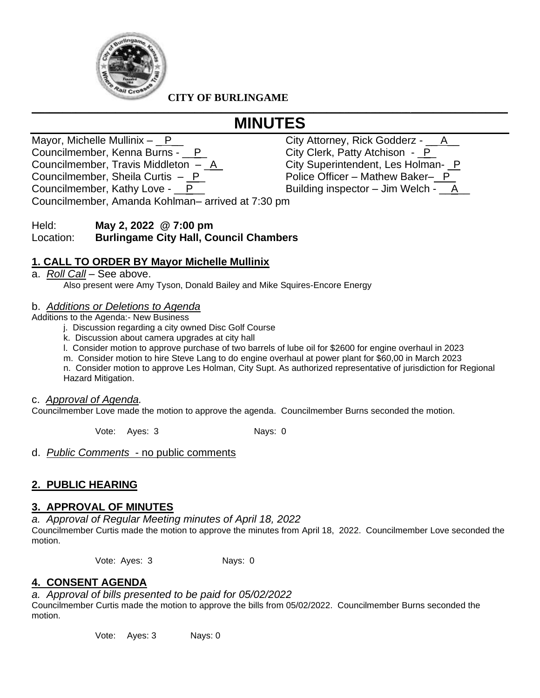

**CITY OF BURLINGAME**

# **\_\_\_\_\_\_\_\_\_\_\_\_\_\_\_\_\_\_\_\_\_\_\_\_\_\_\_\_\_\_\_\_\_\_\_\_\_\_\_\_\_\_\_\_\_\_\_\_\_\_\_\_\_\_\_\_\_\_\_\_\_\_\_\_\_\_\_\_\_\_\_\_\_\_\_\_\_\_\_\_\_\_\_\_\_\_\_\_\_\_\_\_\_\_\_\_\_\_\_\_\_\_\_\_\_\_\_\_ MINUTES**

Mayor, Michelle Mullinix – P\_\_ compared and City Attorney, Rick Godderz - \_\_ A\_ Councilmember, Kenna Burns - \_\_P\_ City Clerk, Patty Atchison - \_P\_ Councilmember, Travis Middleton – \_A\_ City Superintendent, Les Holman- \_P Councilmember, Sheila Curtis  $-\underline{P}$  Police Officer – Mathew Baker– $\underline{P}$ Councilmember, Kathy Love - \_\_P\_\_ Building inspector – Jim Welch - \_\_A\_\_

Councilmember, Amanda Kohlman– arrived at 7:30 pm

## Held: **May 2, 2022 @ 7:00 pm** Location: **Burlingame City Hall, Council Chambers**

# **1. CALL TO ORDER BY Mayor Michelle Mullinix**

a. *Roll Call* – See above. Also present were Amy Tyson, Donald Bailey and Mike Squires-Encore Energy

### b. *Additions or Deletions to Agenda*

Additions to the Agenda:- New Business

- j. Discussion regarding a city owned Disc Golf Course
- k. Discussion about camera upgrades at city hall
- l. Consider motion to approve purchase of two barrels of lube oil for \$2600 for engine overhaul in 2023
- m. Consider motion to hire Steve Lang to do engine overhaul at power plant for \$60,00 in March 2023

n. Consider motion to approve Les Holman, City Supt. As authorized representative of jurisdiction for Regional Hazard Mitigation.

#### c. *Approval of Agenda.*

Councilmember Love made the motion to approve the agenda. Councilmember Burns seconded the motion.

Vote: Ayes: 3 Nays: 0

d. *Public Comments* - no public comments

## **2. PUBLIC HEARING**

### **3. APPROVAL OF MINUTES**

*a. Approval of Regular Meeting minutes of April 18, 2022* Councilmember Curtis made the motion to approve the minutes from April 18, 2022. Councilmember Love seconded the motion.

Vote: Ayes: 3 Nays: 0

## **4. CONSENT AGENDA**

*a. Approval of bills presented to be paid for 05/02/2022*

Councilmember Curtis made the motion to approve the bills from 05/02/2022. Councilmember Burns seconded the motion.

Vote: Ayes: 3 Nays: 0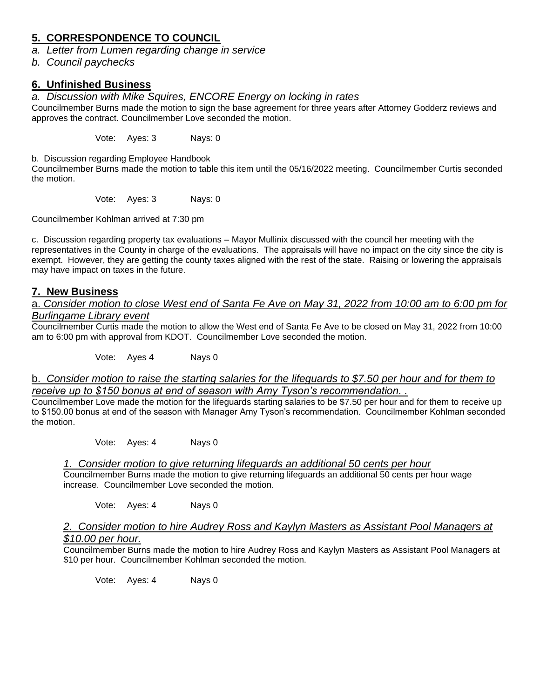# **5. CORRESPONDENCE TO COUNCIL**

- *a. Letter from Lumen regarding change in service*
- *b. Council paychecks*

## **6. Unfinished Business**

*a. Discussion with Mike Squires, ENCORE Energy on locking in rates* 

Councilmember Burns made the motion to sign the base agreement for three years after Attorney Godderz reviews and approves the contract. Councilmember Love seconded the motion.

Vote: Ayes: 3 Nays: 0

b. Discussion regarding Employee Handbook

Councilmember Burns made the motion to table this item until the 05/16/2022 meeting. Councilmember Curtis seconded the motion.

Vote: Ayes: 3 Nays: 0

Councilmember Kohlman arrived at 7:30 pm

c. Discussion regarding property tax evaluations – Mayor Mullinix discussed with the council her meeting with the representatives in the County in charge of the evaluations. The appraisals will have no impact on the city since the city is exempt. However, they are getting the county taxes aligned with the rest of the state. Raising or lowering the appraisals may have impact on taxes in the future.

### **7. New Business**

a. *Consider motion to close West end of Santa Fe Ave on May 31, 2022 from 10:00 am to 6:00 pm for Burlingame Library event* 

Councilmember Curtis made the motion to allow the West end of Santa Fe Ave to be closed on May 31, 2022 from 10:00 am to 6:00 pm with approval from KDOT. Councilmember Love seconded the motion.

Vote: Ayes 4 Nays 0

### b. *Consider motion to raise the starting salaries for the lifeguards to \$7.50 per hour and for them to receive up to \$150 bonus at end of season with Amy Tyson's recommendation. .*

Councilmember Love made the motion for the lifeguards starting salaries to be \$7.50 per hour and for them to receive up to \$150.00 bonus at end of the season with Manager Amy Tyson's recommendation. Councilmember Kohlman seconded the motion.

Vote: Ayes: 4 Nays 0

### *1. Consider motion to give returning lifeguards an additional 50 cents per hour*

Councilmember Burns made the motion to give returning lifeguards an additional 50 cents per hour wage increase. Councilmember Love seconded the motion.

Vote: Ayes: 4 Nays 0

### *2. Consider motion to hire Audrey Ross and Kaylyn Masters as Assistant Pool Managers at \$10.00 per hour.*

Councilmember Burns made the motion to hire Audrey Ross and Kaylyn Masters as Assistant Pool Managers at \$10 per hour. Councilmember Kohlman seconded the motion.

Vote: Ayes: 4 Nays 0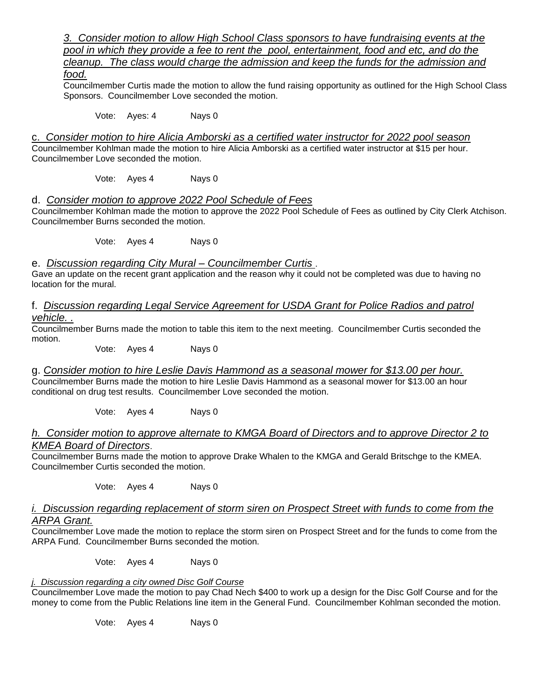*3. Consider motion to allow High School Class sponsors to have fundraising events at the pool in which they provide a fee to rent the pool, entertainment, food and etc, and do the cleanup. The class would charge the admission and keep the funds for the admission and* 

*food.* 

Councilmember Curtis made the motion to allow the fund raising opportunity as outlined for the High School Class Sponsors. Councilmember Love seconded the motion.

Vote: Ayes: 4 Nays 0

c. *Consider motion to hire Alicia Amborski as a certified water instructor for 2022 pool season* 

Councilmember Kohlman made the motion to hire Alicia Amborski as a certified water instructor at \$15 per hour. Councilmember Love seconded the motion.

Vote: Ayes 4 Nays 0

#### d. *Consider motion to approve 2022 Pool Schedule of Fees*

Councilmember Kohlman made the motion to approve the 2022 Pool Schedule of Fees as outlined by City Clerk Atchison. Councilmember Burns seconded the motion.

Vote: Ayes 4 Nays 0

e. *Discussion regarding City Mural – Councilmember Curtis* .

Gave an update on the recent grant application and the reason why it could not be completed was due to having no location for the mural.

f. *Discussion regarding Legal Service Agreement for USDA Grant for Police Radios and patrol vehicle. .* 

Councilmember Burns made the motion to table this item to the next meeting. Councilmember Curtis seconded the motion.

Vote: Ayes 4 Nays 0

g. *Consider motion to hire Leslie Davis Hammond as a seasonal mower for \$13.00 per hour.* Councilmember Burns made the motion to hire Leslie Davis Hammond as a seasonal mower for \$13.00 an hour conditional on drug test results. Councilmember Love seconded the motion.

Vote: Ayes 4 Nays 0

#### *h. Consider motion to approve alternate to KMGA Board of Directors and to approve Director 2 to KMEA Board of Directors*.

Councilmember Burns made the motion to approve Drake Whalen to the KMGA and Gerald Britschge to the KMEA. Councilmember Curtis seconded the motion.

Vote: Ayes 4 Nays 0

*i. Discussion regarding replacement of storm siren on Prospect Street with funds to come from the ARPA Grant.*

Councilmember Love made the motion to replace the storm siren on Prospect Street and for the funds to come from the ARPA Fund. Councilmember Burns seconded the motion.

Vote: Ayes 4 Nays 0

### *j. Discussion regarding a city owned Disc Golf Course*

Councilmember Love made the motion to pay Chad Nech \$400 to work up a design for the Disc Golf Course and for the money to come from the Public Relations line item in the General Fund. Councilmember Kohlman seconded the motion.

Vote: Ayes 4 Nays 0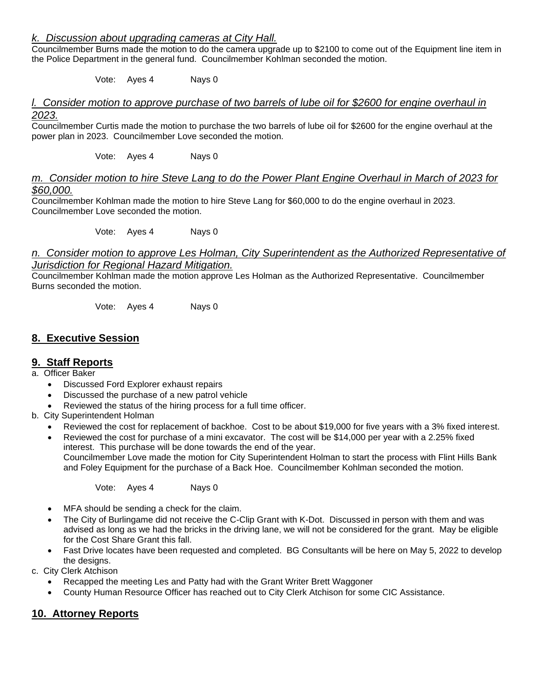### *k. Discussion about upgrading cameras at City Hall.*

Councilmember Burns made the motion to do the camera upgrade up to \$2100 to come out of the Equipment line item in the Police Department in the general fund. Councilmember Kohlman seconded the motion.

Vote: Ayes 4 Nays 0

### *l. Consider motion to approve purchase of two barrels of lube oil for \$2600 for engine overhaul in 2023.*

Councilmember Curtis made the motion to purchase the two barrels of lube oil for \$2600 for the engine overhaul at the power plan in 2023. Councilmember Love seconded the motion.

Vote: Ayes 4 Nays 0

#### *Consider motion to hire Steve Lang to do the Power Plant Engine Overhaul in March of 2023 for \$60,000.*

Councilmember Kohlman made the motion to hire Steve Lang for \$60,000 to do the engine overhaul in 2023. Councilmember Love seconded the motion.

Vote: Ayes 4 Nays 0

#### *n. Consider motion to approve Les Holman, City Superintendent as the Authorized Representative of Jurisdiction for Regional Hazard Mitigation.*

Councilmember Kohlman made the motion approve Les Holman as the Authorized Representative. Councilmember Burns seconded the motion.

Vote: Ayes 4 Nays 0

## **8. Executive Session**

### **9. Staff Reports**

- a. Officer Baker
	- Discussed Ford Explorer exhaust repairs
	- Discussed the purchase of a new patrol vehicle
	- Reviewed the status of the hiring process for a full time officer.
- b. City Superintendent Holman
	- Reviewed the cost for replacement of backhoe. Cost to be about \$19,000 for five years with a 3% fixed interest.
	- Reviewed the cost for purchase of a mini excavator. The cost will be \$14,000 per year with a 2.25% fixed interest. This purchase will be done towards the end of the year. Councilmember Love made the motion for City Superintendent Holman to start the process with Flint Hills Bank and Foley Equipment for the purchase of a Back Hoe. Councilmember Kohlman seconded the motion.

Vote: Ayes 4 Nays 0

- MFA should be sending a check for the claim.
- The City of Burlingame did not receive the C-Clip Grant with K-Dot. Discussed in person with them and was advised as long as we had the bricks in the driving lane, we will not be considered for the grant. May be eligible for the Cost Share Grant this fall.
- Fast Drive locates have been requested and completed. BG Consultants will be here on May 5, 2022 to develop the designs.
- c. City Clerk Atchison
	- Recapped the meeting Les and Patty had with the Grant Writer Brett Waggoner
	- County Human Resource Officer has reached out to City Clerk Atchison for some CIC Assistance.

## **10. Attorney Reports**